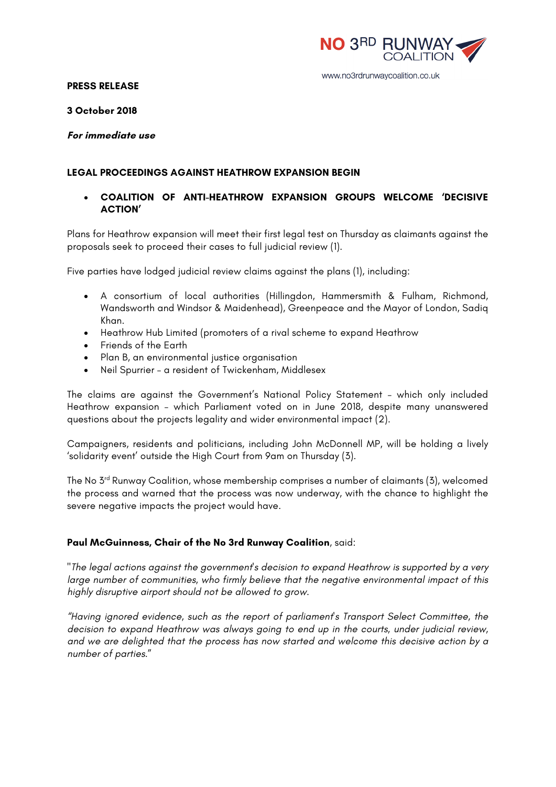

#### www.no3rdrunwaycoalition.co.uk

#### **PRESS RELEASE**

#### **3 October 2018**

### **For immediate use**

### **LEGAL PROCEEDINGS AGAINST HEATHROW EXPANSION BEGIN**

# • **COALITION OF ANTI-HEATHROW EXPANSION GROUPS WELCOME 'DECISIVE ACTION'**

Plans for Heathrow expansion will meet their first legal test on Thursday as claimants against the proposals seek to proceed their cases to full judicial review (1).

Five parties have lodged judicial review claims against the plans (1), including:

- A consortium of local authorities (Hillingdon, Hammersmith & Fulham, Richmond, Wandsworth and Windsor & Maidenhead), Greenpeace and the Mayor of London, Sadiq Khan.
- Heathrow Hub Limited (promoters of a rival scheme to expand Heathrow
- Friends of the Earth
- Plan B, an environmental justice organisation
- Neil Spurrier a resident of Twickenham, Middlesex

The claims are against the Government's National Policy Statement – which only included Heathrow expansion – which Parliament voted on in June 2018, despite many unanswered questions about the projects legality and wider environmental impact (2).

Campaigners, residents and politicians, including John McDonnell MP, will be holding a lively 'solidarity event' outside the High Court from 9am on Thursday (3).

The No 3<sup>rd</sup> Runway Coalition, whose membership comprises a number of claimants (3), welcomed the process and warned that the process was now underway, with the chance to highlight the severe negative impacts the project would have.

## **Paul McGuinness, Chair of the No 3rd Runway Coalition**, said:

"*The legal actions against the government's decision to expand Heathrow is supported by a very large number of communities, who firmly believe that the negative environmental impact of this highly disruptive airport should not be allowed to grow.* 

*"Having ignored evidence, such as the report of parliament's Transport Select Committee, the decision to expand Heathrow was always going to end up in the courts, under judicial review, and we are delighted that the process has now started and welcome this decisive action by a number of parties*."